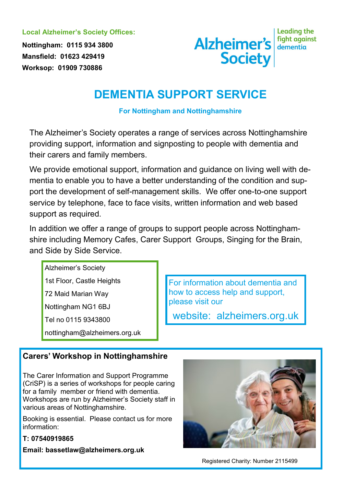**Local Alzheimer's Society Offices:**

**Nottingham: 0115 934 3800 Mansfield: 01623 429419 Worksop: 01909 730886**



**Leading the** 

## **DEMENTIA SUPPORT SERVICE**

**For Nottingham and Nottinghamshire**

The Alzheimer's Society operates a range of services across Nottinghamshire providing support, information and signposting to people with dementia and their carers and family members.

We provide emotional support, information and guidance on living well with dementia to enable you to have a better understanding of the condition and support the development of self-management skills. We offer one-to-one support service by telephone, face to face visits, written information and web based support as required.

In addition we offer a range of groups to support people across Nottinghamshire including Memory Cafes, Carer Support Groups, Singing for the Brain, and Side by Side Service.

Alzheimer's Society

1st Floor, Castle Heights

72 Maid Marian Way

Nottingham NG1 6BJ

Tel no 0115 9343800

nottingham@alzheimers.org.uk

For information about dementia and how to access help and support, please visit our

website: alzheimers.org.uk

## **Carers' Workshop in Nottinghamshire**

The Carer Information and Support Programme (CriSP) is a series of workshops for people caring for a family member or friend with dementia. Workshops are run by Alzheimer's Society staff in various areas of Nottinghamshire.

Booking is essential. Please contact us for more information:

#### **T: 07540919865**

**Email: bassetlaw@alzheimers.org.uk**



Registered Charity: Number 2115499